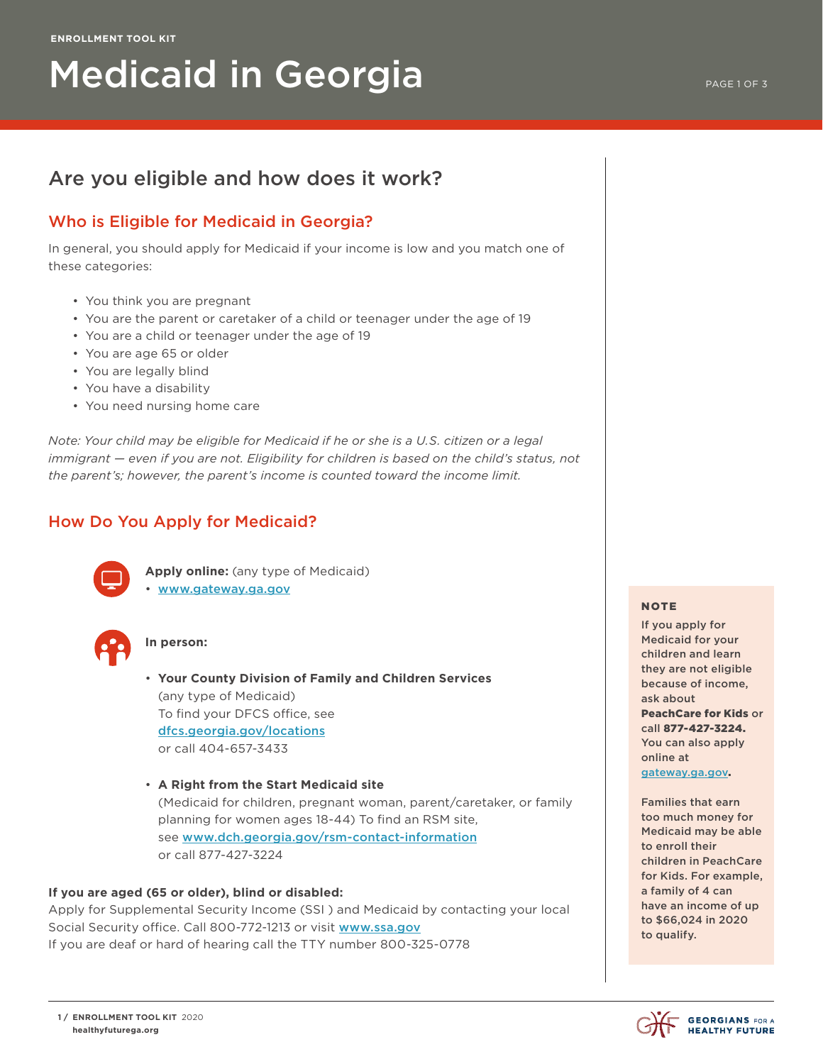# Medicaid in Georgia

# Who is Eligible for Medicaid in Georgia?

In general, you should apply for Medicaid if your income is low and you match one of these categories:

- You think you are pregnant
- You are the parent or caretaker of a child or teenager under the age of 19
- You are a child or teenager under the age of 19
- You are age 65 or older
- You are legally blind
- You have a disability
- You need nursing home care

*Note: Your child may be eligible for Medicaid if he or she is a U.S. citizen or a legal immigrant — even if you are not. Eligibility for children is based on the child's status, not the parent's; however, the parent's income is counted toward the income limit.*

# How Do You Apply for Medicaid?



 **Apply online:** (any type of Medicaid) • [www.gateway.ga.gov](http://www.gateway.ga.gov)



#### **In person:**

 • **Your County Division of Family and Children Services** (any type of Medicaid) To find your DFCS office, see [dfcs.georgia.gov/locations](http://dfcs.georgia.gov/locations) or call 404-657-3433

 • **A Right from the Start Medicaid site** (Medicaid for children, pregnant woman, parent/caretaker, or family planning for women ages 18-44) To find an RSM site, see [www.dch.georgia.gov/rsm-contact-information](http://www.dch.georgia.gov/rsm-contact-information) or call 877-427-3224

#### **If you are aged (65 or older), blind or disabled:**

Apply for Supplemental Security Income (SSI ) and Medicaid by contacting your local Social Security office. Call 800-772-1213 or visit [www.ssa.gov](http://www.ssa.gov) If you are deaf or hard of hearing call the TTY number 800-325-0778

#### **NOTE**

If you apply for Medicaid for your children and learn they are not eligible because of income, ask about PeachCare for Kids or call 877-427-3224. You can also apply online at [gateway.ga.gov](http://gateway.ga.gov).

Families that earn too much money for Medicaid may be able to enroll their children in PeachCare for Kids. For example, a family of 4 can have an income of up to \$66,024 in 2020 to qualify.

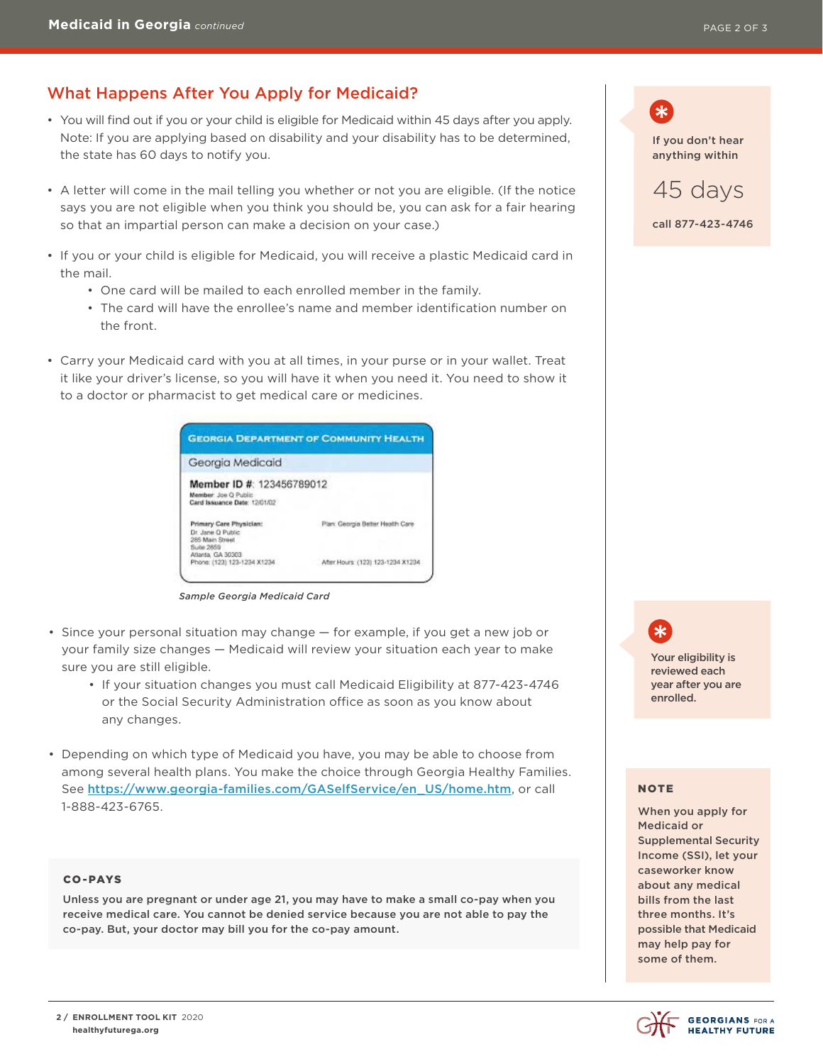# What Happens After You Apply for Medicaid?

- You will find out if you or your child is eligible for Medicaid within 45 days after you apply. Note: If you are applying based on disability and your disability has to be determined, the state has 60 days to notify you.
- A letter will come in the mail telling you whether or not you are eligible. (If the notice says you are not eligible when you think you should be, you can ask for a fair hearing so that an impartial person can make a decision on your case.)
- If you or your child is eligible for Medicaid, you will receive a plastic Medicaid card in the mail.
	- One card will be mailed to each enrolled member in the family.
	- The card will have the enrollee's name and member identification number on the front.
- Carry your Medicaid card with you at all times, in your purse or in your wallet. Treat it like your driver's license, so you will have it when you need it. You need to show it to a doctor or pharmacist to get medical care or medicines.



*Sample Georgia Medicaid Card*

- Since your personal situation may change for example, if you get a new job or your family size changes — Medicaid will review your situation each year to make sure you are still eligible.
	- If your situation changes you must call Medicaid Eligibility at 877-423-4746 or the Social Security Administration office as soon as you know about any changes.
- Depending on which type of Medicaid you have, you may be able to choose from among several health plans. You make the choice through Georgia Healthy Families. See [https://www.georgia-families.com/GASelfService/en\\_US/home.htm](https://www.georgia-families.com/GASelfService/en_US/home.htm), or call 1-888-423-6765.

#### CO-PAYS

Unless you are pregnant or under age 21, you may have to make a small co-pay when you receive medical care. You cannot be denied service because you are not able to pay the co-pay. But, your doctor may bill you for the co-pay amount.

∗ If you don't hear anything within



Your eligibility is reviewed each year after you are enrolled.

#### NOTE

When you apply for Medicaid or Supplemental Security Income (SSI), let your caseworker know about any medical bills from the last three months. It's possible that Medicaid may help pay for some of them.

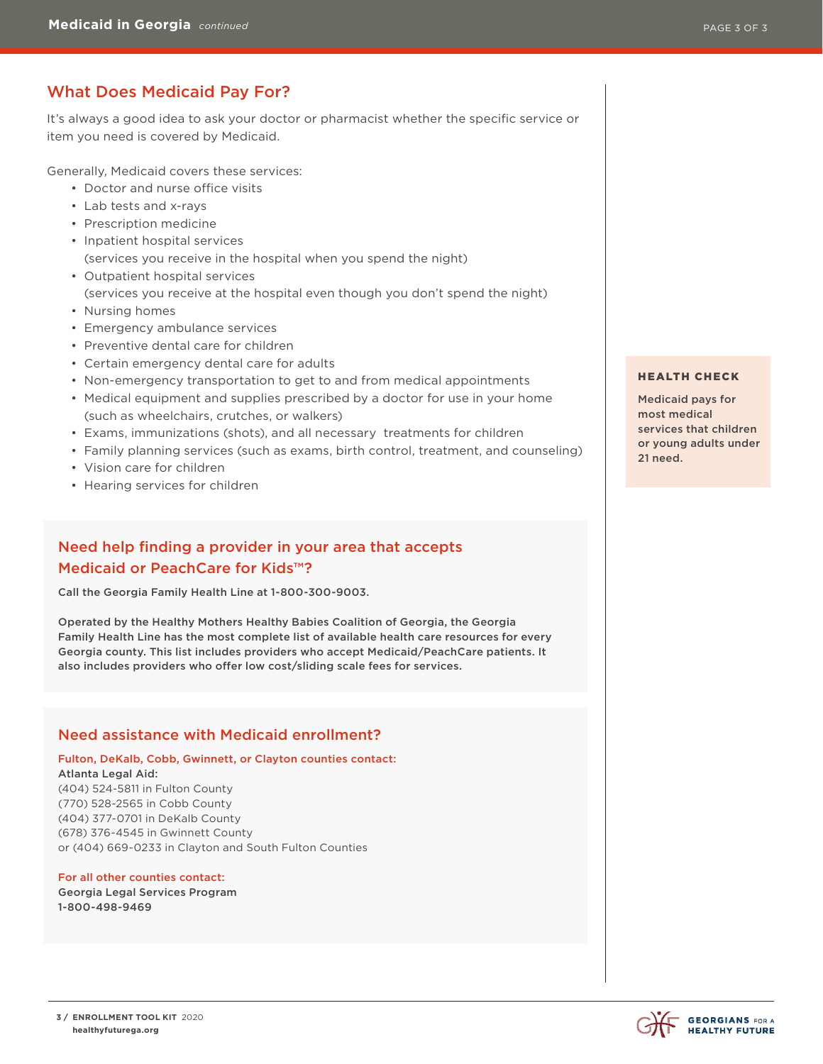# What Does Medicaid Pay For?

It's always a good idea to ask your doctor or pharmacist whether the specific service or item you need is covered by Medicaid.

Generally, Medicaid covers these services:

- Doctor and nurse office visits
- Lab tests and x-rays
- Prescription medicine
- Inpatient hospital services (services you receive in the hospital when you spend the night)
- Outpatient hospital services (services you receive at the hospital even though you don't spend the night)
- Nursing homes
- Emergency ambulance services
- Preventive dental care for children
- Certain emergency dental care for adults
- Non-emergency transportation to get to and from medical appointments
- Medical equipment and supplies prescribed by a doctor for use in your home (such as wheelchairs, crutches, or walkers)
- Exams, immunizations (shots), and all necessary treatments for children
- Family planning services (such as exams, birth control, treatment, and counseling)
- Vision care for children
- Hearing services for children

## Need help finding a provider in your area that accepts Medicaid or PeachCare for Kids™?

Call the Georgia Family Health Line at 1-800-300-9003.

Operated by the Healthy Mothers Healthy Babies Coalition of Georgia, the Georgia Family Health Line has the most complete list of available health care resources for every Georgia county. This list includes providers who accept Medicaid/PeachCare patients. It also includes providers who offer low cost/sliding scale fees for services.

### Need assistance with Medicaid enrollment?

#### Fulton, DeKalb, Cobb, Gwinnett, or Clayton counties contact: Atlanta Legal Aid:

(404) 524-5811 in Fulton County (770) 528-2565 in Cobb County (404) 377-0701 in DeKalb County (678) 376-4545 in Gwinnett County or (404) 669-0233 in Clayton and South Fulton Counties

#### For all other counties contact: Georgia Legal Services Program 1-800-498-9469

#### HEALTH CHECK

Medicaid pays for most medical services that children or young adults under 21 need.